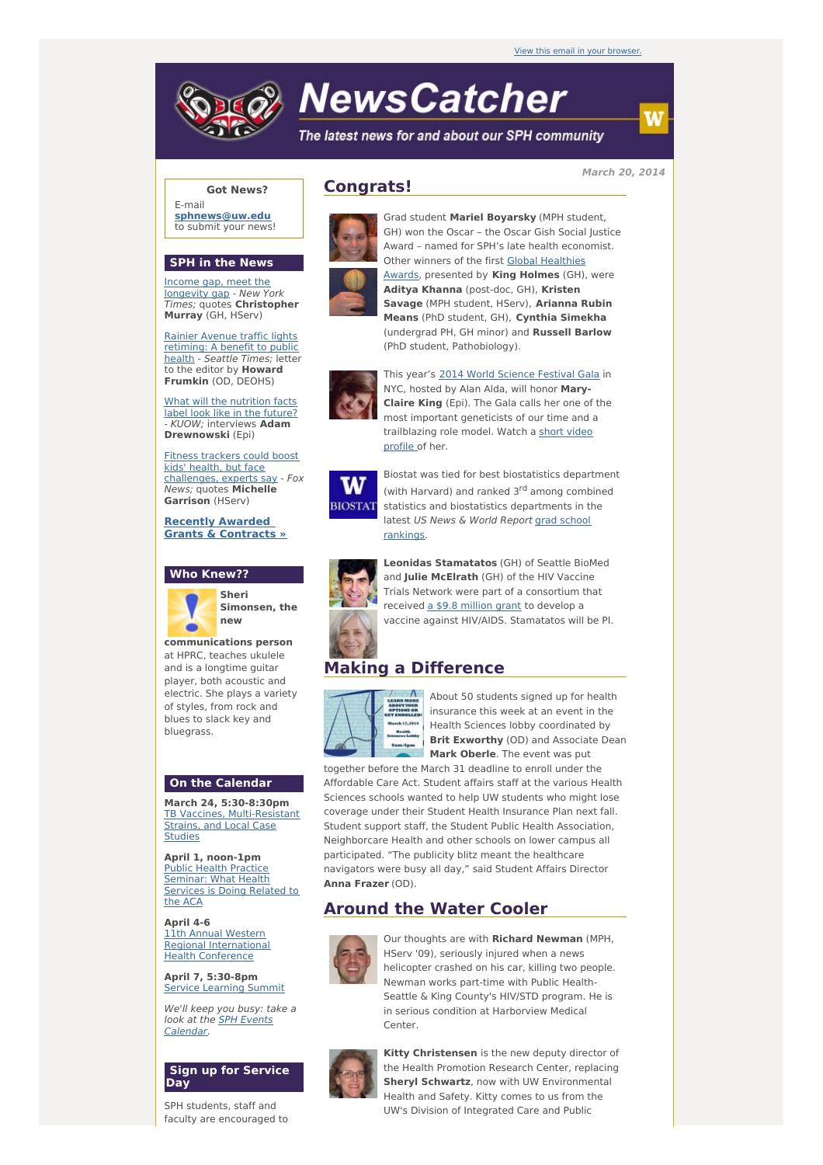# **NewsCatcher**

The latest news for and about our SPH community

### **Got News?**

E-mail **[sphnews@uw.edu](mailto:sphnews@uw.edu)** to submit your news!

#### **SPH in the News**

Income gap, meet the [longevity](http://engage.washington.edu/site/R?i=1rRhpTLgXVsdwAkfNEpgxg) gap - New York Times; quotes **Christopher Murray** (GH, HServ)

Rainier Avenue traffic lights [retiming:](http://engage.washington.edu/site/R?i=dUgL1OShsSo7bX2PsLAdtg) A benefit to public health - Seattle Times; letter to the editor by **Howard Frumkin** (OD, DEOHS)

What will the [nutrition](http://engage.washington.edu/site/R?i=qSCzqK8Ad7xUklZ0h4O6ng) facts label look like in the future? - KUOW; interviews **Adam Drewnowski** (Epi)

Fitness trackers could boost kids' health, but face [challenges,](http://engage.washington.edu/site/R?i=L8qqkb1Kts9alkueCqFV1A) experts say - Fox News; quotes **Michelle Garrison** (HServ)

**Recently Awarded Grants & [Contracts](http://engage.washington.edu/site/R?i=Xyy3gXwtZ8wpDlQfaknjRQ) »**





**Simonsen, the**

**communications person** at HPRC, teaches ukulele and is a longtime quitar player, both acoustic and electric. She plays a variety of styles, from rock and blues to slack key and bluegrass.

#### **On the Calendar**

**March 24, 5:30-8:30pm** TB Vaccines, [Multi-Resistant](http://engage.washington.edu/site/R?i=oIZXCuEupzOvKrpSwwsxUw) Strains, and Local Case Studies

**April 1, noon-1pm** Public Health Practice [Seminar:](http://engage.washington.edu/site/R?i=c_ekjvK2xtOk6A-zt2RqdQ) What Health Services is Doing Related to the ACA

**April 4-6** 11th Annual Western Regional [International](http://engage.washington.edu/site/R?i=lEdzsx-a3lar36f1db_feA) Health Conference

**April 7, 5:30-8pm** Service [Learning](http://engage.washington.edu/site/R?i=FZ5zwSyp7wlnMjHgb2cPmQ) Summit

We'll keep you busy: take a look at the **SPH Events** [Calendar.](http://engage.washington.edu/site/R?i=M5SpSA77UZJWqe6roZ9JCg)

#### **Sign up for Service Day**

SPH students, staff and faculty are encouraged to

# **Congrats!**



Grad student **Mariel Boyarsky** (MPH student, GH) won the Oscar – the Oscar Gish Social Justice Award – named for SPH's late health economist. Other winners of the first Global Healthies Awards, [presented](http://engage.washington.edu/site/R?i=NnbLgWbyfQljzpOc3eLLlg) by **King Holmes** (GH), were **Aditya Khanna** (post-doc, GH), **Kristen Savage** (MPH student, HServ), **Arianna Rubin Means** (PhD student, GH), **Cynthia Simekha** (undergrad PH, GH minor) and **Russell Barlow** (PhD student, Pathobiology).



This year's 2014 World [Science](http://engage.washington.edu/site/R?i=4twGuYpQ9woc-Wi4vh6Ueg) Festival Gala in NYC, hosted by Alan Alda, will honor **Mary-Claire King** (Epi). The Gala calls her one of the most important geneticists of our time and a [trailblazing](http://engage.washington.edu/site/R?i=Uh9rxyof3DRuZWBzeaTweQ) role model. Watch a short video profile of her.



Biostat was tied for best biostatistics department (with Harvard) and ranked 3<sup>rd</sup> among combined statistics and biostatistics departments in the latest US News & World Report grad school [rankings.](http://engage.washington.edu/site/R?i=F0FCwkInpJYbM0ONU71ICg)



**Leonidas Stamatatos** (GH) of Seattle BioMed and **Julie McElrath** (GH) of the HIV Vaccine Trials Network were part of a consortium that received a \$9.8 [million](http://engage.washington.edu/site/R?i=bpPsQjYZMU019chWn43mGA) grant to develop a vaccine against HIV/AIDS. Stamatatos will be PI.

# **Making a Difference**



About 50 students signed up for health insurance this week at an event in the Health Sciences lobby coordinated by **Brit Exworthy** (OD) and Associate Dean **Mark Oberle**. The event was put

together before the March 31 deadline to enroll under the Affordable Care Act. Student affairs staff at the various Health Sciences schools wanted to help UW students who might lose coverage under their Student Health Insurance Plan next fall. Student support staff, the Student Public Health Association, Neighborcare Health and other schools on lower campus all participated. "The publicity blitz meant the healthcare navigators were busy all day," said Student Affairs Director **Anna Frazer** (OD).

# **Around the Water Cooler**



Our thoughts are with **Richard Newman** (MPH, HServ '09), seriously injured when a news helicopter crashed on his car, killing two people. Newman works part-time with Public Health-Seattle & King County's HIV/STD program. He is in serious condition at Harborview Medical Center.



**Kitty Christensen** is the new deputy director of the Health Promotion Research Center, replacing **Sheryl Schwartz**, now with UW Environmental Health and Safety. Kitty comes to us from the UW's Division of Integrated Care and Public

**March 20, 2014**